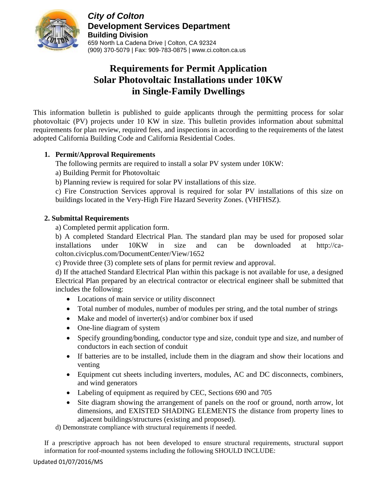

*City of Colton* **Development Services Department Building Division** 659 North La Cadena Drive | Colton, CA 92324 (909) 370-5079 | Fax: 909-783-0875 | www.ci.colton.ca.us

# **Requirements for Permit Application Solar Photovoltaic Installations under 10KW in Single-Family Dwellings**

This information bulletin is published to guide applicants through the permitting process for solar photovoltaic (PV) projects under 10 KW in size. This bulletin provides information about submittal requirements for plan review, required fees, and inspections in according to the requirements of the latest adopted California Building Code and California Residential Codes.

## **1. Permit/Approval Requirements**

The following permits are required to install a solar PV system under 10KW:

- a) Building Permit for Photovoltaic
- b) Planning review is required for solar PV installations of this size.

c) Fire Construction Services approval is required for solar PV installations of this size on buildings located in the Very-High Fire Hazard Severity Zones. (VHFHSZ).

## **2. Submittal Requirements**

a) Completed permit application form.

b) A completed Standard Electrical Plan. The standard plan may be used for proposed solar installations under 10KW in size and can be downloaded at http://cacolton.civicplus.com/DocumentCenter/View/1652

c) Provide three (3) complete sets of plans for permit review and approval.

d) If the attached Standard Electrical Plan within this package is not available for use, a designed Electrical Plan prepared by an electrical contractor or electrical engineer shall be submitted that includes the following:

- Locations of main service or utility disconnect
- Total number of modules, number of modules per string, and the total number of strings
- Make and model of inverter(s) and/or combiner box if used
- One-line diagram of system
- Specify grounding/bonding, conductor type and size, conduit type and size, and number of conductors in each section of conduit
- If batteries are to be installed, include them in the diagram and show their locations and venting
- Equipment cut sheets including inverters, modules, AC and DC disconnects, combiners, and wind generators
- Labeling of equipment as required by CEC, Sections 690 and 705
- Site diagram showing the arrangement of panels on the roof or ground, north arrow, lot dimensions, and EXISTED SHADING ELEMENTS the distance from property lines to adjacent buildings/structures (existing and proposed).

d) Demonstrate compliance with structural requirements if needed.

If a prescriptive approach has not been developed to ensure structural requirements, structural support information for roof-mounted systems including the following SHOULD INCLUDE: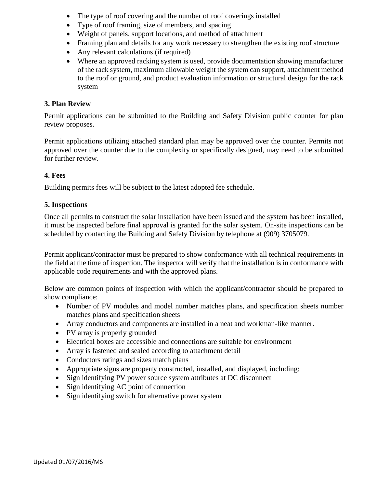- The type of roof covering and the number of roof coverings installed
- Type of roof framing, size of members, and spacing
- Weight of panels, support locations, and method of attachment
- Framing plan and details for any work necessary to strengthen the existing roof structure
- Any relevant calculations (if required)
- Where an approved racking system is used, provide documentation showing manufacturer of the rack system, maximum allowable weight the system can support, attachment method to the roof or ground, and product evaluation information or structural design for the rack system

#### **3. Plan Review**

Permit applications can be submitted to the Building and Safety Division public counter for plan review proposes.

Permit applications utilizing attached standard plan may be approved over the counter. Permits not approved over the counter due to the complexity or specifically designed, may need to be submitted for further review.

### **4. Fees**

Building permits fees will be subject to the latest adopted fee schedule.

#### **5. Inspections**

Once all permits to construct the solar installation have been issued and the system has been installed, it must be inspected before final approval is granted for the solar system. On-site inspections can be scheduled by contacting the Building and Safety Division by telephone at (909) 3705079.

Permit applicant/contractor must be prepared to show conformance with all technical requirements in the field at the time of inspection. The inspector will verify that the installation is in conformance with applicable code requirements and with the approved plans.

Below are common points of inspection with which the applicant/contractor should be prepared to show compliance:

- Number of PV modules and model number matches plans, and specification sheets number matches plans and specification sheets
- Array conductors and components are installed in a neat and workman-like manner.
- PV array is properly grounded
- Electrical boxes are accessible and connections are suitable for environment
- Array is fastened and sealed according to attachment detail
- Conductors ratings and sizes match plans
- Appropriate signs are property constructed, installed, and displayed, including:
- Sign identifying PV power source system attributes at DC disconnect
- Sign identifying AC point of connection
- Sign identifying switch for alternative power system